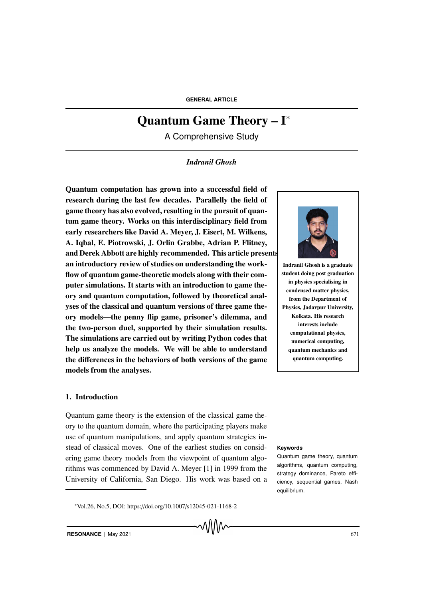# Quantum Game Theory – I<sup>∗</sup>

A Comprehensive Study

### *Indranil Ghosh*

Quantum computation has grown into a successful field of research during the last few decades. Parallelly the field of game theory has also evolved, resulting in the pursuit of quantum game theory. Works on this interdisciplinary field from early researchers like David A. Meyer, J. Eisert, M. Wilkens, A. Iqbal, E. Piotrowski, J. Orlin Grabbe, Adrian P. Flitney, and Derek Abbott are highly recommended. This article presents an introductory review of studies on understanding the workflow of quantum game-theoretic models along with their computer simulations. It starts with an introduction to game theory and quantum computation, followed by theoretical analyses of the classical and quantum versions of three game theory models—the penny flip game, prisoner's dilemma, and the two-person duel, supported by their simulation results. The simulations are carried out by writing Python codes that help us analyze the models. We will be able to understand the differences in the behaviors of both versions of the game models from the analyses.

#### 1. Introduction

Quantum game theory is the extension of the classical game theory to the quantum domain, where the participating players make use of quantum manipulations, and apply quantum strategies instead of classical moves. One of the earliest studies on consid- **Keywords** ering game theory models from the viewpoint of quantum algorithms was commenced by David A. Meyer [1] in 1999 from the University of California, San Diego. His work was based on a



Indranil Ghosh is a graduate student doing post graduation in physics specialising in condensed matter physics, from the Department of Physics, Jadavpur University, Kolkata. His research interests include computational physics, numerical computing, quantum mechanics and quantum computing.

Quantum game theory, quantum algorithms, quantum computing, strategy dominance, Pareto efficiency, sequential games, Nash equilibrium.

<sup>∗</sup>Vol.26, No.5, DOI: https://doi.org/10.1007/s12045-021-1168-2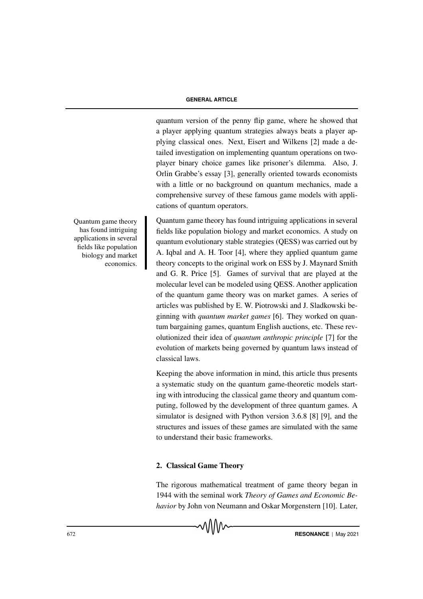quantum version of the penny flip game, where he showed that a player applying quantum strategies always beats a player applying classical ones. Next, Eisert and Wilkens [2] made a detailed investigation on implementing quantum operations on twoplayer binary choice games like prisoner's dilemma. Also, J. Orlin Grabbe's essay [3], generally oriented towards economists with a little or no background on quantum mechanics, made a comprehensive survey of these famous game models with applications of quantum operators.

Quantum game theory has found intriguing applications in several fields like population biology and market economics. A study on quantum evolutionary stable strategies (QESS) was carried out by A. Iqbal and A. H. Toor [4], where they applied quantum game theory concepts to the original work on ESS by J. Maynard Smith and G. R. Price [5]. Games of survival that are played at the molecular level can be modeled using QESS. Another application of the quantum game theory was on market games. A series of articles was published by E. W. Piotrowski and J. Sladkowski beginning with *quantum market games* [6]. They worked on quantum bargaining games, quantum English auctions, etc. These revolutionized their idea of *quantum anthropic principle* [7] for the evolution of markets being governed by quantum laws instead of classical laws.

Keeping the above information in mind, this article thus presents a systematic study on the quantum game-theoretic models starting with introducing the classical game theory and quantum computing, followed by the development of three quantum games. A simulator is designed with Python version 3.6.8 [8] [9], and the structures and issues of these games are simulated with the same to understand their basic frameworks.

#### 2. Classical Game Theory

The rigorous mathematical treatment of game theory began in 1944 with the seminal work *Theory of Games and Economic Behavior* by John von Neumann and Oskar Morgenstern [10]. Later,

Quantum game theory Quantum has found intriguing applications in several fields like population biology and market economics.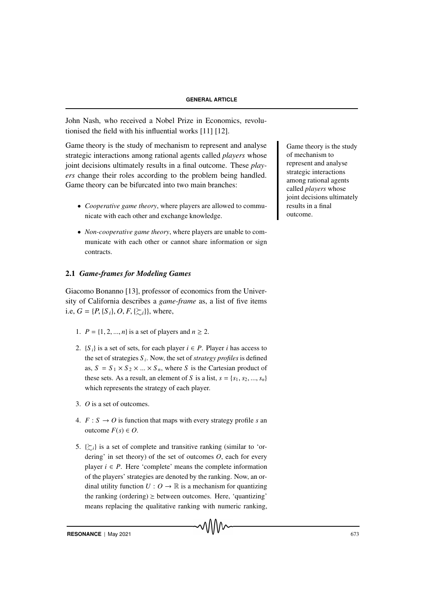John Nash, who received a Nobel Prize in Economics, revolutionised the field with his influential works [11] [12].

Game theory is the study of mechanism to represent and analyse Game theory is the study strategic interactions among rational agents called *players* whose joint decisions ultimately results in a final outcome. These *players* change their roles according to the problem being handled. Game theory can be bifurcated into two main branches:

- *Cooperative game theory*, where players are allowed to communicate with each other and exchange knowledge.
- *Non-cooperative game theory*, where players are unable to communicate with each other or cannot share information or sign contracts.

#### 2.1 *Game-frames for Modeling Games*

Giacomo Bonanno [13], professor of economics from the University of California describes a *game-frame* as, a list of five items i.e,  $G = \{P, \{S_i\}, O, F, \{\succ_{i}\}\}\$ , where,

- 1.  $P = \{1, 2, ..., n\}$  is a set of players and  $n \ge 2$ .
- 2.  ${S_i}$  is a set of sets, for each player  $i \in P$ . Player *i* has access to the set of strategies *S <sup>i</sup>* . Now, the set of *strategy profiles* is defined as,  $S = S_1 \times S_2 \times ... \times S_n$ , where *S* is the Cartesian product of these sets. As a result, an element of *S* is a list,  $s = \{s_1, s_2, ..., s_n\}$ which represents the strategy of each player.
- 3. *O* is a set of outcomes.
- 4.  $F : S \rightarrow O$  is function that maps with every strategy profile *s* an outcome *F*(*s*) ∈ *O*.
- 5.  $\{\gtrsim_i\}$  is a set of complete and transitive ranking (similar to 'ordering' in set theory) of the set of outcomes *O*, each for every player  $i \in P$ . Here 'complete' means the complete information of the players' strategies are denoted by the ranking. Now, an ordinal utility function  $U: O \to \mathbb{R}$  is a mechanism for quantizing the ranking (ordering)  $\geq$  between outcomes. Here, 'quantizing' means replacing the qualitative ranking with numeric ranking,

of mechanism to represent and analyse strategic interactions among rational agents called *players* whose joint decisions ultimately results in a final outcome.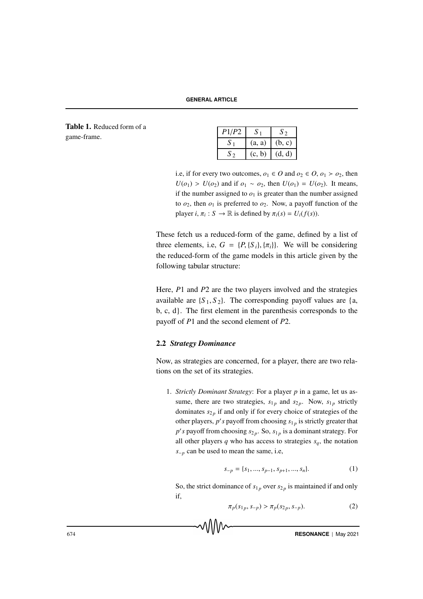**GENERAL ARTICLE**

Table 1. Reduced form of a game-frame. *<sup>P</sup>*1/*P*<sup>2</sup> *<sup>S</sup>* <sup>1</sup> *<sup>S</sup>* <sup>2</sup>

| P1/P2 |        |        |
|-------|--------|--------|
|       | (a, a) | (b, c) |
|       | (c, b) | (d, d) |

i.e, if for every two outcomes,  $o_1 \in O$  and  $o_2 \in O$ ,  $o_1 > o_2$ , then *U*(*o*<sub>1</sub>) > *U*(*o*<sub>2</sub>) and if *o*<sub>1</sub> ∼ *o*<sub>2</sub>, then *U*(*o*<sub>1</sub>) = *U*(*o*<sub>2</sub>). It means, if the number assigned to  $o_1$  is greater than the number assigned to  $o_2$ , then  $o_1$  is preferred to  $o_2$ . Now, a payoff function of the player *i*,  $\pi_i$ :  $S \to \mathbb{R}$  is defined by  $\pi_i(s) = U_i(f(s))$ .

These fetch us a reduced-form of the game, defined by a list of three elements, i.e,  $G = {P, {S_i}, {\pi_i}}$ . We will be considering the reduced-form of the game models in this article given by the following tabular structure:

Here, *P*1 and *P*2 are the two players involved and the strategies available are  $\{S_1, S_2\}$ . The corresponding payoff values are  $\{a, a\}$ b, c, d}. The first element in the parenthesis corresponds to the payoff of *P*1 and the second element of *P*2.

#### 2.2 *Strategy Dominance*

Now, as strategies are concerned, for a player, there are two relations on the set of its strategies.

1. *Strictly Dominant Strategy*: For a player *p* in a game, let us assume, there are two strategies,  $s_{1p}$  and  $s_{2p}$ . Now,  $s_{1p}$  strictly dominates  $s_{2p}$  if and only if for every choice of strategies of the other players,  $p'$  *s* payoff from choosing  $s_{1p}$  is strictly greater that  $p'$ s payoff from choosing  $s_{2p}$ . So,  $s_{1p}$  is a dominant strategy. For all other players  $q$  who has access to strategies  $s_q$ , the notation *s*−*<sup>p</sup>* can be used to mean the same, i.e,

$$
s_{-p} = \{s_1, ..., s_{p-1}, s_{p+1}, ..., s_n\}.
$$
 (1)

So, the strict dominance of  $s_{1p}$  over  $s_{2p}$  is maintained if and only if,

$$
\pi_p(s_{1p}, s_{-p}) > \pi_p(s_{2p}, s_{-p}).
$$
\n(2)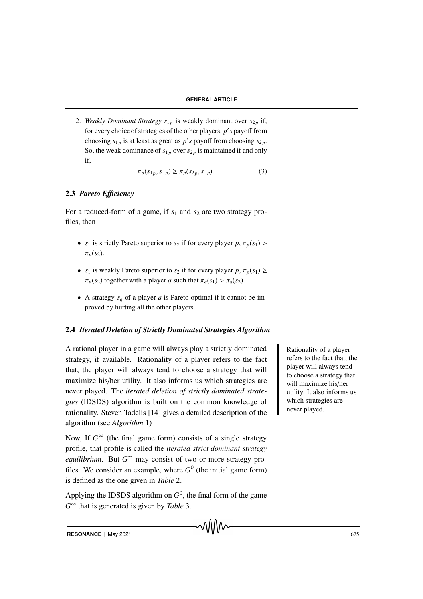2. *Weakly Dominant Strategy*  $s_{1p}$  is weakly dominant over  $s_{2p}$  if, for every choice of strategies of the other players, *p* ′ *s* payoff from choosing  $s_{1p}$  is at least as great as *p*'s payoff from choosing  $s_{2p}$ . So, the weak dominance of  $s_{1p}$  over  $s_{2p}$  is maintained if and only if,

$$
\pi_p(s_{1p}, s_{-p}) \ge \pi_p(s_{2p}, s_{-p}).
$$
\n(3)

#### 2.3 *Pareto E*ffi*ciency*

For a reduced-form of a game, if  $s_1$  and  $s_2$  are two strategy profiles, then

- *s*<sub>1</sub> is strictly Pareto superior to *s*<sub>2</sub> if for every player  $p, \pi_p(s_1)$  >  $\pi_p(s_2)$ .
- *s*<sub>1</sub> is weakly Pareto superior to *s*<sub>2</sub> if for every player *p*,  $\pi_p(s_1) \ge$  $\pi_p(s_2)$  together with a player *q* such that  $\pi_q(s_1) > \pi_q(s_2)$ .
- A strategy  $s_q$  of a player  $q$  is Pareto optimal if it cannot be improved by hurting all the other players.

# 2.4 *Iterated Deletion of Strictly Dominated Strategies Algorithm*

A rational player in a game will always play a strictly dominated Rationality of a player strategy, if available. Rationality of a player refers to the fact that, the player will always tend to choose a strategy that will maximize his/her utility. It also informs us which strategies are never played. The *iterated deletion of strictly dominated strategies* (IDSDS) algorithm is built on the common knowledge of rationality. Steven Tadelis [14] gives a detailed description of the algorithm (see *Algorithm* 1)

Now, If  $G^{\infty}$  (the final game form) consists of a single strategy profile, that profile is called the *iterated strict dominant strategy equilibrium*. But *G*<sup>∞</sup> may consist of two or more strategy profiles. We consider an example, where  $G^0$  (the initial game form) is defined as the one given in *Table* 2.

Applying the IDSDS algorithm on  $G^0$ , the final form of the game *G* <sup>∞</sup> that is generated is given by *Table* 3.

refers to the fact that, the player will always tend to choose a strategy that will maximize his/her utility. It also informs us which strategies are never played.

**RESONANCE** | May 2021 675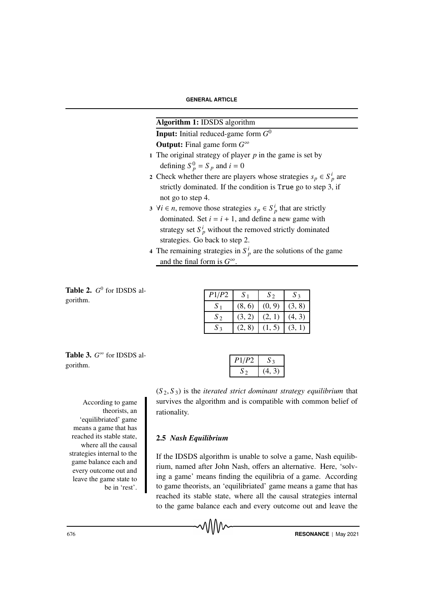# Algorithm 1: IDSDS algorithm

Input: Initial reduced-game form *G* 0 Output: Final game form *G* ∞

- 1 The original strategy of player  $p$  in the game is set by defining  $S_p^0 = S_p$  and  $i = 0$
- 2 Check whether there are players whose strategies  $s_p \in S_p^i$  are strictly dominated. If the condition is True go to step 3, if not go to step 4.
- 3  $\forall i \in n$ , remove those strategies  $s_p \in S_p^i$  that are strictly dominated. Set  $i = i + 1$ , and define a new game with strategy set  $S_p^i$  without the removed strictly dominated strategies. Go back to step 2.
- 4 The remaining strategies in  $S_p^i$  are the solutions of the game and the final form is  $G^{\infty}$ .

Table 2.  $G^0$  for IDSDS algorithm.

| P1/P2 | S <sub>1</sub> | $S_{2}$ | $S_3$  |
|-------|----------------|---------|--------|
| $S_1$ | (8, 6)         | (0, 9)  | (3, 8) |
| $S_2$ | (3, 2)         | (2, 1)  | (4, 3) |
| $S_3$ | (2, 8)         | (1, 5)  | (3, 1) |

Table 3. *G*<sup>∞</sup> for IDSDS al- $P1/P2$  *S*<sub>3</sub> gorithm.

According to game theorists, an 'equilibriated' game means a game that has reached its stable state, where all the causal strategies internal to the game balance each and every outcome out and leave the game state to be in 'rest'.

| P1/P2 |  |
|-------|--|
|       |  |

 $(S_2, S_3)$  is the *iterated strict dominant strategy equilibrium* that survives the algorithm and is compatible with common belief of rationality.

#### 2.5 *Nash Equilibrium*

᠕᠕᠕

If the IDSDS algorithm is unable to solve a game, Nash equilibrium, named after John Nash, offers an alternative. Here, 'solving a game' means finding the equilibria of a game. According to game theorists, an 'equilibriated' game means a game that has reached its stable state, where all the causal strategies internal to the game balance each and every outcome out and leave the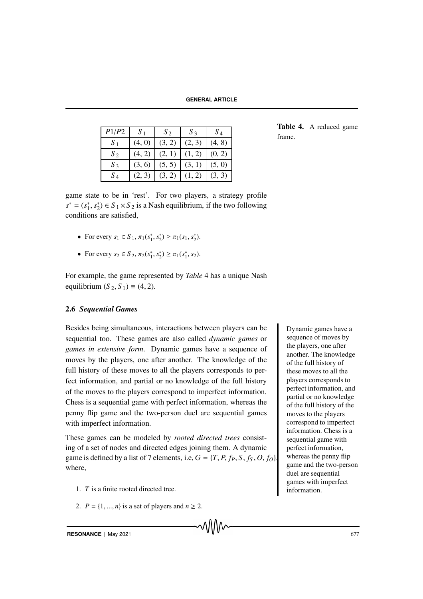**GENERAL ARTICLE**

| P1/P2 | S <sub>1</sub> | $S_2$  | $S_3$  | $S_4$  |
|-------|----------------|--------|--------|--------|
| $S_1$ | (4, 0)         | (3, 2) | (2, 3) | (4, 8) |
| $S_2$ | (4, 2)         |        |        |        |
| $S_3$ | (3,<br>6,      | (5, 5) | (3, 1) | (5, 0) |
| $S_4$ |                |        |        |        |

Table 4. A reduced game

game state to be in 'rest'. For two players, a strategy profile  $s^* = (s_1^*)$  $j^*, s_2^*$  $2^*$   $\leq S_1 \times S_2$  is a Nash equilibrium, if the two following conditions are satisfied,

- For every  $s_1 \in S_1$ ,  $\pi_1(s_1^*, s_2^*) \ge \pi_1(s_1, s_2^*)$ .
- For every  $s_2 \in S_2$ ,  $\pi_2(s_1^*, s_2^*) \ge \pi_1(s_1^*, s_2)$ .

For example, the game represented by *Table* 4 has a unique Nash equilibrium  $(S_2, S_1) \equiv (4, 2)$ .

#### 2.6 *Sequential Games*

Besides being simultaneous, interactions between players can be Dynamic games have a sequential too. These games are also called *dynamic games* or *games in extensive form*. Dynamic games have a sequence of moves by the players, one after another. The knowledge of the full history of these moves to all the players corresponds to perfect information, and partial or no knowledge of the full history of the moves to the players correspond to imperfect information. Chess is a sequential game with perfect information, whereas the penny flip game and the two-person duel are sequential games with imperfect information.

These games can be modeled by *rooted directed trees* consisting of a set of nodes and directed edges joining them. A dynamic game is defined by a list of 7 elements, i.e,  $G = \{T, P, f_P, S, f_S, O, f_O\}$ where,

- 1. *T* is a finite rooted directed tree.
- 2.  $P = \{1, ..., n\}$  is a set of players and  $n \ge 2$ .

sequence of moves by the players, one after another. The knowledge of the full history of these moves to all the players corresponds to perfect information, and partial or no knowledge of the full history of the moves to the players correspond to imperfect information. Chess is a sequential game with perfect information, whereas the penny flip game and the two-person duel are sequential games with imperfect information.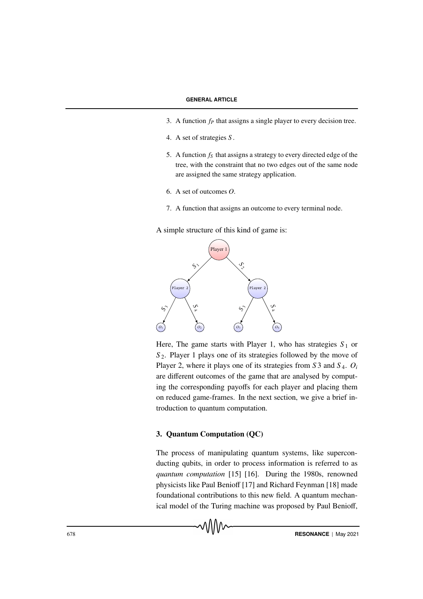- 3. A function *f<sup>P</sup>* that assigns a single player to every decision tree.
- 4. A set of strategies *S* .
- 5. A function *f<sup>S</sup>* that assigns a strategy to every directed edge of the tree, with the constraint that no two edges out of the same node are assigned the same strategy application.
- 6. A set of outcomes *O*.
- 7. A function that assigns an outcome to every terminal node.

A simple structure of this kind of game is:



Here, The game starts with Player 1, who has strategies  $S_1$  or *S* <sup>2</sup>. Player 1 plays one of its strategies followed by the move of Player 2, where it plays one of its strategies from *S* 3 and *S* <sup>4</sup>. *O<sup>i</sup>* are different outcomes of the game that are analysed by computing the corresponding payoffs for each player and placing them on reduced game-frames. In the next section, we give a brief introduction to quantum computation.

### 3. Quantum Computation (QC)

᠕᠕᠕

The process of manipulating quantum systems, like superconducting qubits, in order to process information is referred to as *quantum computation* [15] [16]. During the 1980s, renowned physicists like Paul Benioff [17] and Richard Feynman [18] made foundational contributions to this new field. A quantum mechanical model of the Turing machine was proposed by Paul Benioff,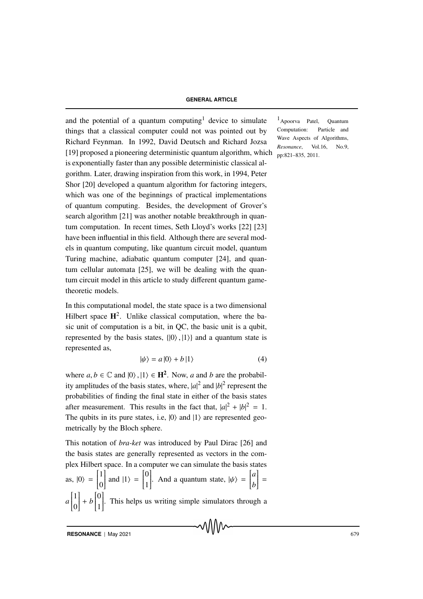and the potential of a quantum computing<sup>1</sup> device to simulate  $\frac{1}{2}$ Apoorva Patel, Quantum things that a classical computer could not was pointed out by Richard Feynman. In 1992, David Deutsch and Richard Jozsa [19] proposed a pioneering deterministic quantum algorithm, which is exponentially faster than any possible deterministic classical algorithm. Later, drawing inspiration from this work, in 1994, Peter Shor [20] developed a quantum algorithm for factoring integers, which was one of the beginnings of practical implementations of quantum computing. Besides, the development of Grover's search algorithm [21] was another notable breakthrough in quantum computation. In recent times, Seth Lloyd's works [22] [23] have been influential in this field. Although there are several models in quantum computing, like quantum circuit model, quantum Turing machine, adiabatic quantum computer [24], and quantum cellular automata [25], we will be dealing with the quantum circuit model in this article to study different quantum gametheoretic models.

In this computational model, the state space is a two dimensional Hilbert space  $H^2$ . Unlike classical computation, where the basic unit of computation is a bit, in QC, the basic unit is a qubit, represented by the basis states,  $\{|0\rangle, |1\rangle\}$  and a quantum state is represented as,

$$
|\psi\rangle = a|0\rangle + b|1\rangle \tag{4}
$$

where  $a, b \in \mathbb{C}$  and  $|0\rangle$ ,  $|1\rangle \in \mathbb{H}^2$ . Now, *a* and *b* are the probability amplitudes of the basis states, where,  $|a|^2$  and  $|b|^2$  represent the probabilities of finding the final state in either of the basis states after measurement. This results in the fact that,  $|a|^2 + |b|^2 = 1$ . The qubits in its pure states, i.e,  $|0\rangle$  and  $|1\rangle$  are represented geometrically by the Bloch sphere.

This notation of *bra-ket* was introduced by Paul Dirac [26] and the basis states are generally represented as vectors in the complex Hilbert space. In a computer we can simulate the basis states as,  $|0\rangle = \begin{bmatrix} 1 \\ 0 \end{bmatrix}$  $\overline{\phantom{a}}$ 0 and  $|1\rangle = \begin{bmatrix} 0 \\ 1 \end{bmatrix}$  $\overline{\phantom{a}}$  $\overline{\mathsf{l}}$ 1 . And a quantum state,  $|\psi\rangle = \begin{bmatrix} a \\ b \end{bmatrix}$  $\overline{\mathsf{l}}$ *b*  $\Big\}$  =  $a \begin{bmatrix} 1 \\ 0 \end{bmatrix}$  $\overline{\mathsf{l}}$ 0  $\Bigg] + b \Bigg]$  $\overline{\phantom{a}}$  $\overline{\mathsf{l}}$ 1 . This helps us writing simple simulators through a

Computation: Particle and Wave Aspects of Algorithms, *Resonance*, Vol.16, No.9, pp:821–835, 2011.

**RESONANCE** | May 2021 679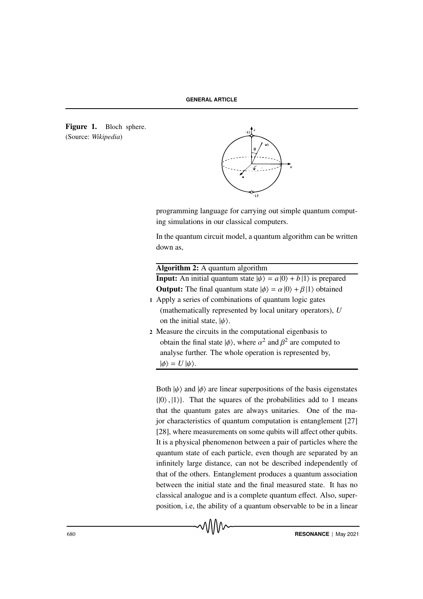Figure 1. Bloch sphere. (Source: *Wikipedia*)



programming language for carrying out simple quantum computing simulations in our classical computers.

In the quantum circuit model, a quantum algorithm can be written down as,

# Algorithm 2: A quantum algorithm

**Input:** An initial quantum state  $|\psi\rangle = a|0\rangle + b|1\rangle$  is prepared **Output:** The final quantum state  $|\phi\rangle = \alpha |0\rangle + \beta |1\rangle$  obtained

- 1 Apply a series of combinations of quantum logic gates (mathematically represented by local unitary operators), *U* on the initial state,  $|\psi\rangle$ .
- 2 Measure the circuits in the computational eigenbasis to obtain the final state  $|\phi\rangle$ , where  $\alpha^2$  and  $\beta^2$  are computed to analyse further. The whole operation is represented by,  $|\phi\rangle = U |\psi\rangle$ .

Both  $|\psi\rangle$  and  $|\phi\rangle$  are linear superpositions of the basis eigenstates  $\{|0\rangle, |1\rangle\}$ . That the squares of the probabilities add to 1 means that the quantum gates are always unitaries. One of the major characteristics of quantum computation is entanglement [27] [28], where measurements on some qubits will affect other qubits. It is a physical phenomenon between a pair of particles where the quantum state of each particle, even though are separated by an infinitely large distance, can not be described independently of that of the others. Entanglement produces a quantum association between the initial state and the final measured state. It has no classical analogue and is a complete quantum effect. Also, superposition, i.e, the ability of a quantum observable to be in a linear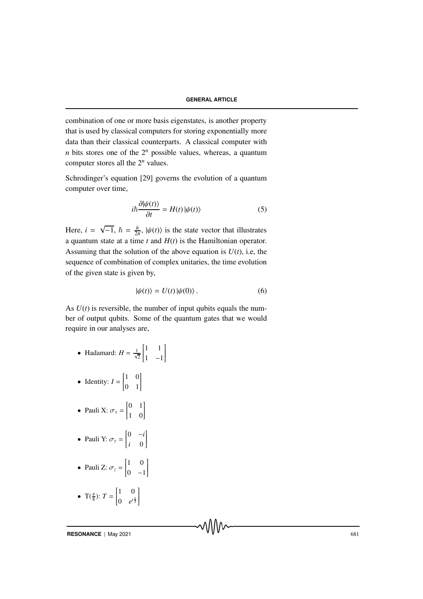combination of one or more basis eigenstates, is another property that is used by classical computers for storing exponentially more data than their classical counterparts. A classical computer with *n* bits stores one of the  $2^n$  possible values, whereas, a quantum computer stores all the 2*<sup>n</sup>* values.

Schrodinger's equation [29] governs the evolution of a quantum computer over time,

$$
i\hbar \frac{\partial |\psi(t)\rangle}{\partial t} = H(t) |\psi(t)\rangle \tag{5}
$$

Here,  $i =$  $\sqrt{-1}, \ \hbar = \frac{h}{2i}$  $\frac{h}{2\pi}$ ,  $|\psi(t)\rangle$  is the state vector that illustrates a quantum state at a time *t* and *H*(*t*) is the Hamiltonian operator. Assuming that the solution of the above equation is  $U(t)$ , i.e, the sequence of combination of complex unitaries, the time evolution of the given state is given by,

$$
|\psi(t)\rangle = U(t)|\psi(0)\rangle.
$$
 (6)

As  $U(t)$  is reversible, the number of input qubits equals the number of output qubits. Some of the quantum gates that we would require in our analyses are,

- Hadamard:  $H = \frac{1}{\sqrt{2}}$  1 1  $\overline{\mathsf{l}}$ 1 −1  $\overline{\phantom{a}}$  $\overline{\phantom{a}}$
- Identity:  $I = \begin{bmatrix} 1 & 0 \\ 0 & 1 \end{bmatrix}$  $\overline{\mathsf{l}}$ 0 1 1  $\overline{\phantom{a}}$
- Pauli X:  $\sigma_x = \begin{bmatrix} 0 & 1 \\ 1 & 0 \end{bmatrix}$  $\overline{\mathsf{l}}$ 1 0  $\overline{\phantom{a}}$  $\overline{\phantom{a}}$
- Pauli Y:  $\sigma_y = \begin{bmatrix} 0 & -i \\ i & 0 \end{bmatrix}$  $\overline{\mathsf{l}}$ *i* 0 1  $\overline{\phantom{a}}$

• Pauli Z: 
$$
\sigma_z = \begin{bmatrix} 1 & 0 \\ 0 & -1 \end{bmatrix}
$$

• 
$$
T(\frac{\pi}{8})
$$
:  $T = \begin{bmatrix} 1 & 0 \\ 0 & e^{i\frac{\pi}{4}} \end{bmatrix}$ 

**RESONANCE** | May 2021 681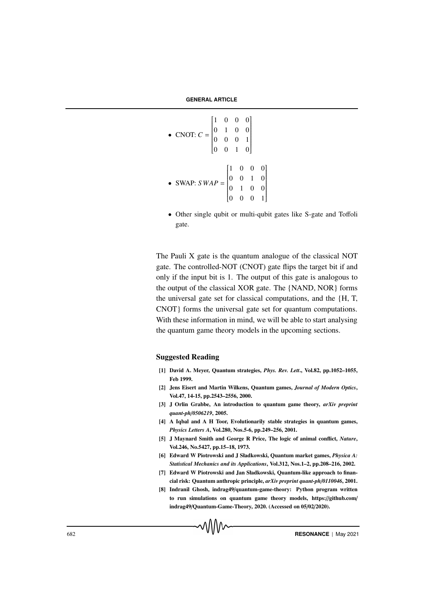**GENERAL ARTICLE**

- CNOT:  $C =$  1 0 0 0 0 1 0 0 0 0 0 1 0 0 1 0 I  $\bullet$  SWAP: *SWAP* = 1 0 0 0 0 0 1 0 0 1 0 0 0 0 0 1  $\overline{\phantom{a}}$
- Other single qubit or multi-qubit gates like S-gate and Toffoli gate.

The Pauli X gate is the quantum analogue of the classical NOT gate. The controlled-NOT (CNOT) gate flips the target bit if and only if the input bit is 1. The output of this gate is analogous to the output of the classical XOR gate. The {NAND, NOR} forms the universal gate set for classical computations, and the {H, T, CNOT} forms the universal gate set for quantum computations. With these information in mind, we will be able to start analysing the quantum game theory models in the upcoming sections.

#### Suggested Reading

- [1] David A. Meyer, Quantum strategies, *Phys. Rev. Lett*., Vol.82, pp.1052–1055, Feb 1999.
- [2] Jens Eisert and Martin Wilkens, Quantum games, *Journal of Modern Optics*, Vol.47, 14-15, pp.2543–2556, 2000.
- [3] J Orlin Grabbe, An introduction to quantum game theory, *arXiv preprint quant-ph*/*0506219*, 2005.
- [4] A Iqbal and A H Toor, Evolutionarily stable strategies in quantum games, *Physics Letters A*, Vol.280, Nos.5-6, pp.249–256, 2001.
- [5] J Maynard Smith and George R Price, The logic of animal conflict, *Nature*, Vol.246, No.5427, pp.15–18, 1973.
- [6] Edward W Piotrowski and J Sładkowski, Quantum market games, *Physica A: Statistical Mechanics and its Applications*, Vol.312, Nos.1–2, pp.208–216, 2002.
- [7] Edward W Piotrowski and Jan Sładkowski, Quantum-like approach to financial risk: Quantum anthropic principle, *arXiv preprint quant-ph*/*0110046*, 2001.
- [8] Indranil Ghosh, indrag49/quantum-game-theory: Python program written to run simulations on quantum game theory models, https://github.com/ indrag49/Quantum-Game-Theory, 2020. (Accessed on 05/02/2020).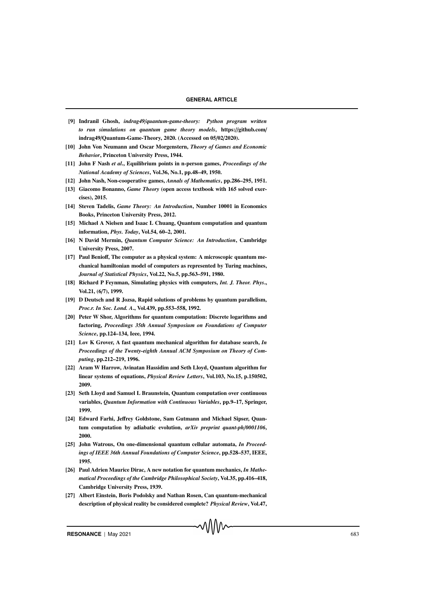- [9] Indranil Ghosh, *indrag49*/*quantum-game-theory: Python program written to run simulations on quantum game theory models*, https://github.com/ indrag49/Quantum-Game-Theory, 2020. (Accessed on 05/02/2020).
- [10] John Von Neumann and Oscar Morgenstern, *Theory of Games and Economic Behavior*, Princeton University Press, 1944.
- [11] John F Nash *et al*., Equilibrium points in n-person games, *Proceedings of the National Academy of Sciences*, Vol.36, No.1, pp.48–49, 1950.
- [12] John Nash, Non-cooperative games, *Annals of Mathematics*, pp.286–295, 1951.
- [13] Giacomo Bonanno, *Game Theory* (open access textbook with 165 solved exercises), 2015.
- [14] Steven Tadelis, *Game Theory: An Introduction*, Number 10001 in Economics Books, Princeton University Press, 2012.
- [15] Michael A Nielsen and Isaac L Chuang, Quantum computation and quantum information, *Phys. Today*, Vol.54, 60–2, 2001.
- [16] N David Mermin, *Quantum Computer Science: An Introduction*, Cambridge University Press, 2007.
- [17] Paul Benioff, The computer as a physical system: A microscopic quantum mechanical hamiltonian model of computers as represented by Turing machines, *Journal of Statistical Physics*, Vol.22, No.5, pp.563–591, 1980.
- [18] Richard P Feynman, Simulating physics with computers, *Int. J. Theor. Phys*., Vol.21, (6/7), 1999.
- [19] D Deutsch and R Jozsa, Rapid solutions of problems by quantum parallelism, *Proc.r. In Soc. Lond. A*., Vol.439, pp.553–558, 1992.
- [20] Peter W Shor, Algorithms for quantum computation: Discrete logarithms and factoring, *Proceedings 35th Annual Symposium on Foundations of Computer Science*, pp.124–134, Ieee, 1994.
- [21] Lov K Grover, A fast quantum mechanical algorithm for database search, *In Proceedings of the Twenty-eighth Annual ACM Symposium on Theory of Computing*, pp.212–219, 1996.
- [22] Aram W Harrow, Avinatan Hassidim and Seth Lloyd, Quantum algorithm for linear systems of equations, *Physical Review Letters*, Vol.103, No.15, p.150502, 2009.
- [23] Seth Lloyd and Samuel L Braunstein, Quantum computation over continuous variables, *Quantum Information with Continuous Variables*, pp.9–17, Springer, 1999.
- [24] Edward Farhi, Jeffrey Goldstone, Sam Gutmann and Michael Sipser, Quantum computation by adiabatic evolution, *arXiv preprint quant-ph*/*0001106*, 2000.
- [25] John Watrous, On one-dimensional quantum cellular automata, *In Proceedings of IEEE 36th Annual Foundations of Computer Science*, pp.528–537, IEEE, 1995.
- [26] Paul Adrien Maurice Dirac, A new notation for quantum mechanics, *In Mathematical Proceedings of the Cambridge Philosophical Society*, Vol.35, pp.416–418, Cambridge University Press, 1939.
- [27] Albert Einstein, Boris Podolsky and Nathan Rosen, Can quantum-mechanical description of physical reality be considered complete? *Physical Review*, Vol.47,